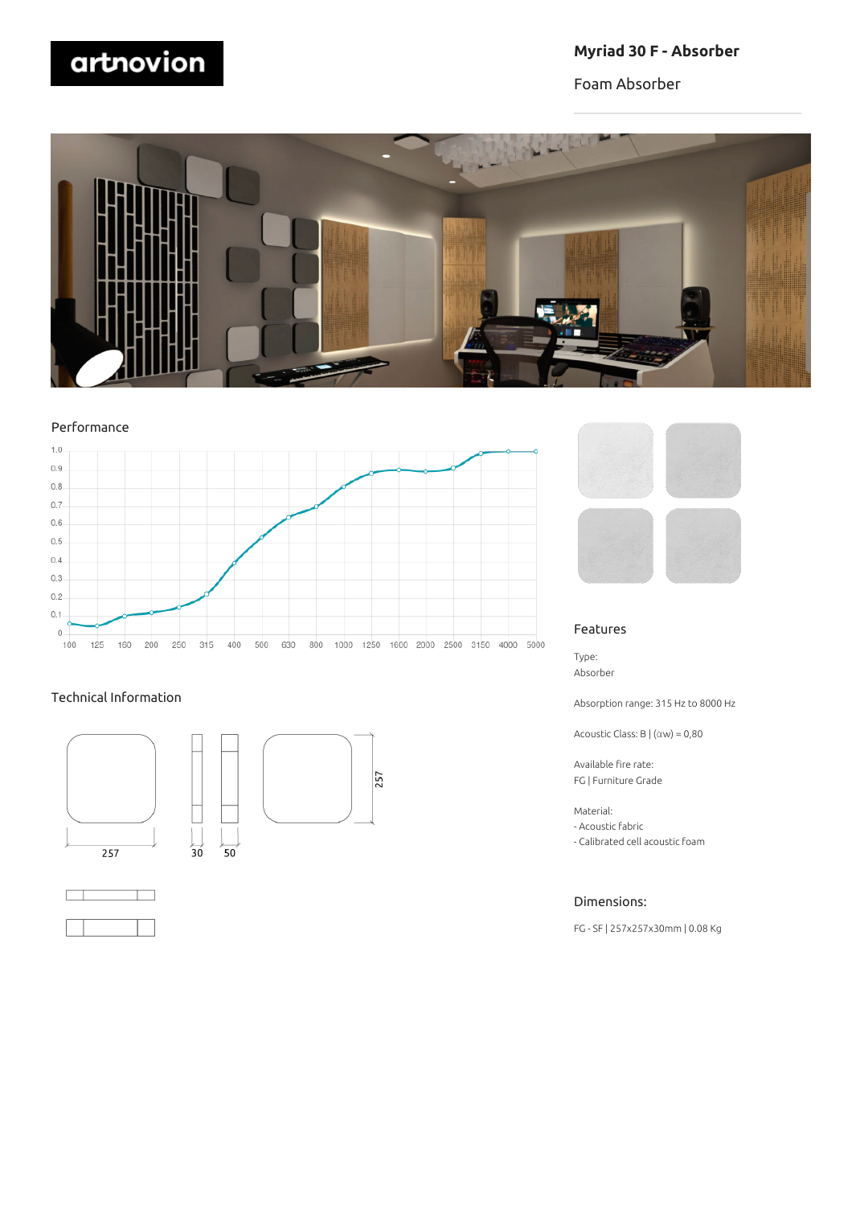# artnovion

## **Myriad 30 F - Absorber**

Foam Absorber



## Performance



## Technical Information



 $\overline{30}$ 



257







#### Features

Type: Absorber

Absorption range: 315 Hz to 8000 Hz

Acoustic Class: B | (αw) = 0,80

Available fire rate: FG | Furniture Grade

Material:

- Acoustic fabric
- Calibrated cell acoustic foam

## Dimensions:

FG - SF | 257x257x30mm | 0.08 Kg